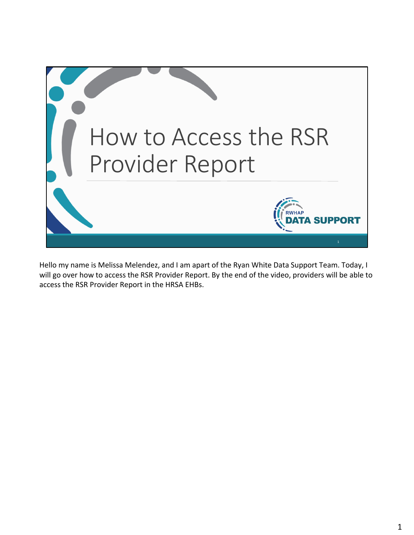

 Hello my name is Melissa Melendez, and I am apart of the Ryan White Data Support Team. Today, I will go over how to access the RSR Provider Report. By the end of the video, providers will be able to access the RSR Provider Report in the HRSA EHBs.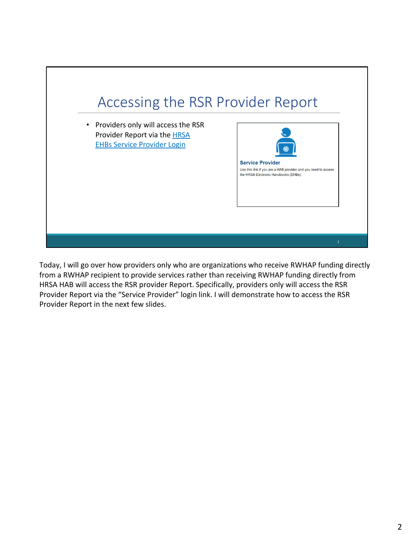

 Today, I will go over how providers only who are organizations who receive RWHAP funding directly from a RWHAP recipient to provide services rather than receiving RWHAP funding directly from HRSA HAB will access the RSR provider Report. Specifically, providers only will access the RSR Provider Report via the "Service Provider" login link. I will demonstrate how to access the RSR Provider Report in the next few slides.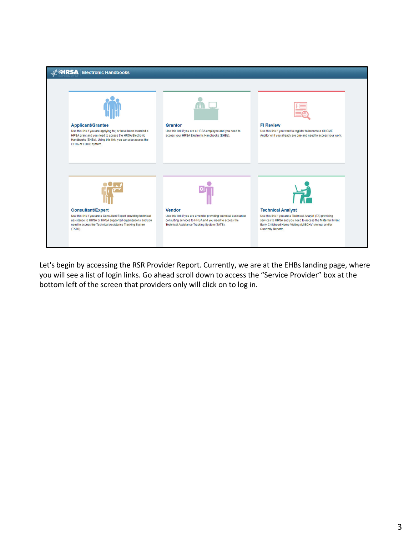

 Let's begin by accessing the RSR Provider Report. Currently, we are at the EHBs landing page, where you will see a list of login links. Go ahead scroll down to access the "Service Provider" box at the bottom left of the screen that providers only will click on to log in.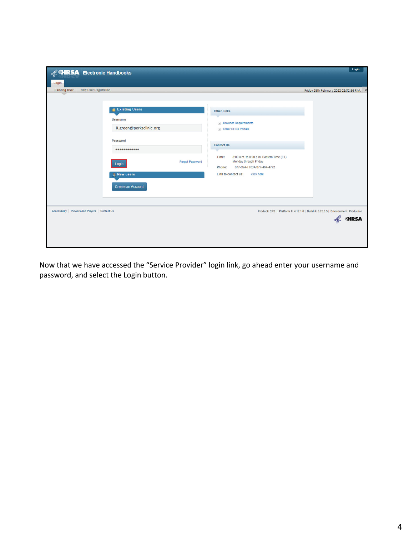| <b>K HRSA</b> Electronic Handbooks<br>Login                                                                                                                                                                                                                   | Login                                                                                                                                                                                                                                                                                                      |
|---------------------------------------------------------------------------------------------------------------------------------------------------------------------------------------------------------------------------------------------------------------|------------------------------------------------------------------------------------------------------------------------------------------------------------------------------------------------------------------------------------------------------------------------------------------------------------|
| <b>Existing User</b><br><b>New User Registration</b><br><b>2</b> Existing Users<br><b>Username</b><br>R.green@perksclinic.org<br>Password<br>$0 0 0 0 0 0 0 0 0 0 0 0 0$<br><b>Forgot Password</b><br>Login<br><b>L</b> New users<br><b>Create an Account</b> | Friday 25th February 2022 02:32:56 P.M. *<br><b>Other Links</b><br><b>Browser Requirements</b><br><b>Other EHBs Portals</b><br><b>Contact Us</b><br>8:00 a.m. to 8:00 p.m. Eastern Time (ET)<br>Time:<br>Monday through Friday<br>877-Go4-HRSA/877-464-4772<br>Phone:<br>Link to contact us:<br>click here |
| Accessibility   Viewers And Players   Contact Us                                                                                                                                                                                                              | Product: EPS   Platform #: 4.12.1.0   Build #: 6.25.0.5   Environment: Production<br><b>A SHRSA</b>                                                                                                                                                                                                        |

 Now that we have accessed the "Service Provider" login link, go ahead enter your username and password, and select the Login button.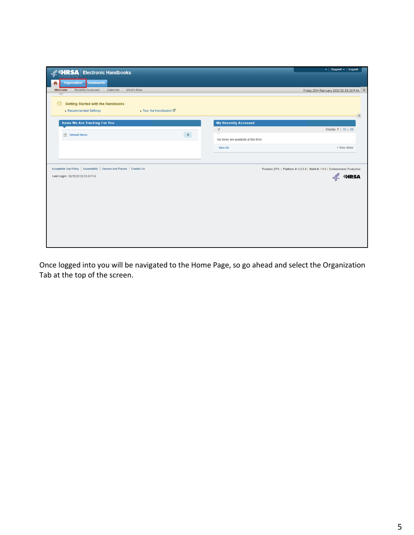| <b>Electronic Handbooks</b>                                                                                    | v   Support v   Logout                                                                          |
|----------------------------------------------------------------------------------------------------------------|-------------------------------------------------------------------------------------------------|
| <b>Dashboards</b><br>Organization<br>⋒                                                                         |                                                                                                 |
| <b>Recently Accessed</b><br>What's New<br>Welcome<br>Calendar                                                  | Friday 25th February 2022 02:33:20 P.M. 2                                                       |
|                                                                                                                |                                                                                                 |
| <b>Getting Started with the Handbooks</b><br>$\bullet$                                                         |                                                                                                 |
| > Tour the Handbooks! L'<br>Recommended Settings                                                               | $\mathbf{x}$                                                                                    |
| <b>Items We Are Tracking For You</b>                                                                           | <b>My Recently Accessed</b>                                                                     |
|                                                                                                                | Y<br>Display 7   15   20                                                                        |
| Unread News<br>$\mathbf{0}^\circ$                                                                              | No items are available at this time                                                             |
|                                                                                                                | <b>View All</b><br>+ View More                                                                  |
|                                                                                                                |                                                                                                 |
| Acceptable Use Policy   Accessibility   Viewers And Players   Contact Us<br>Last Login: 02/25/22 02:33:20 P.M. | Product: EPS   Platform #: 4.2.0.0   Build #: 1.0.0   Environment: Production<br><b>A SHRSA</b> |

logged into you will be navigated to the Home Page, so go ahead and select the at the top of the screen. Once logged into you will be navigated to the Home Page, so go ahead and select the Organization Tab at the top of the screen.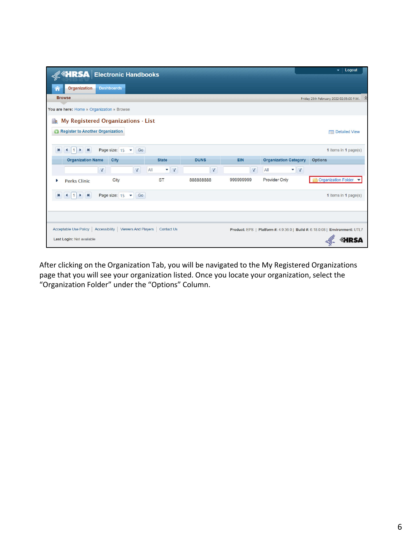| <b>A MIRSA</b> Electronic Handbooks                                                                                      |                                  |             |            |                                  | Logout<br>۰                                                                  |  |  |
|--------------------------------------------------------------------------------------------------------------------------|----------------------------------|-------------|------------|----------------------------------|------------------------------------------------------------------------------|--|--|
| <b>Organization</b><br><b>Dashboards</b>                                                                                 |                                  |             |            |                                  |                                                                              |  |  |
| <b>Browse</b>                                                                                                            |                                  |             |            |                                  | Friday 25th February 2022 02:35:00 P.M.                                      |  |  |
| You are here: Home » Organization » Browse                                                                               |                                  |             |            |                                  |                                                                              |  |  |
| My Registered Organizations - List<br><u>ele</u><br><b>Register to Another Organization</b><br>0<br><b>Detailed View</b> |                                  |             |            |                                  |                                                                              |  |  |
| H<br>$\left  \left  \right  \right $<br>Page size: 15<br>к<br>Go<br>$\overline{\phantom{a}}$                             |                                  |             |            |                                  | 1 items in 1 page(s)                                                         |  |  |
| <b>Organization Name</b><br>City                                                                                         | <b>State</b>                     | <b>DUNS</b> | <b>EIN</b> | <b>Organization Category</b>     | <b>Options</b>                                                               |  |  |
| $\mathbf Y$<br>Y                                                                                                         | All<br>$\mathbf{v}$ $\mathbf{v}$ | $\mathbf Y$ | Y          | $\mathbf{v}$ $\mathbf{v}$<br>All |                                                                              |  |  |
| City<br><b>Perks Clinic</b><br>٠                                                                                         | <b>ST</b>                        | 88888888    | 999999999  | <b>Provider Only</b>             | <b>Organization Folder</b>                                                   |  |  |
| H<br>к<br>Page size: 15<br>Go<br>$\left  1 \right $<br>$\cdot$<br>$\mathbf{v}$                                           |                                  |             |            |                                  | 1 items in 1 page(s)                                                         |  |  |
|                                                                                                                          |                                  |             |            |                                  |                                                                              |  |  |
| Acceptable Use Policy   Accessibility   Viewers And Players   Contact Us<br>Last Login: Not available                    |                                  |             |            |                                  | Product: EPS   Platform #: 4.9.36.0   Build #: 6.18.0.08   Environment: UTL7 |  |  |

 After clicking on the Organization Tab, you will be navigated to the My Registered Organizations that you will see your organization listed. Once you locate your organization, select the Folder" under the "Options" Column. page that you will see your organization listed. Once you locate your organization, select the "Organization Folder" under the "Options" Column.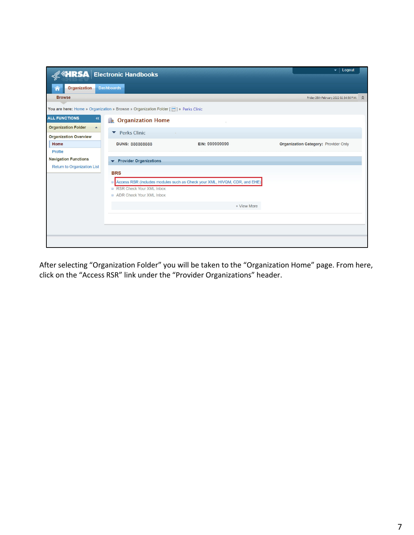|                                                | <b>ARSA</b> Electronic Handbooks                                                     |                                                                           | Logout<br>$\star$                           |  |
|------------------------------------------------|--------------------------------------------------------------------------------------|---------------------------------------------------------------------------|---------------------------------------------|--|
| <b>Organization</b>                            | <b>Dashboards</b>                                                                    |                                                                           |                                             |  |
| <b>Browse</b>                                  |                                                                                      |                                                                           | Friday 25th February 2022 02:34:56 P.M. <   |  |
|                                                | You are here: Home » Organization » Browse » Organization Folder [11] » Perks Clinic |                                                                           |                                             |  |
| <b>ALL FUNCTIONS</b><br>$\ll$                  | <b>C</b> rganization Home                                                            |                                                                           |                                             |  |
| <b>Organization Folder</b><br>$\blacktriangle$ | <b>Perks Clinic</b><br>▼                                                             |                                                                           |                                             |  |
| <b>Organization Overview</b><br>Home           | <b>DUNS: 888888888</b>                                                               | EIN: 999999999                                                            | <b>Organization Category: Provider Only</b> |  |
| Profile                                        |                                                                                      |                                                                           |                                             |  |
| <b>Navigation Functions</b>                    | <b>Provider Organizations</b><br>▼                                                   |                                                                           |                                             |  |
| <b>Return to Organization List</b>             | <b>BRS</b>                                                                           |                                                                           |                                             |  |
|                                                | $\Box$                                                                               | Access RSR (includes modules such as Check your XML, HIVQM, CDR, and EHE) |                                             |  |
|                                                | RSR Check Your XML Inbox                                                             |                                                                           |                                             |  |
|                                                | ADR Check Your XML Inbox                                                             |                                                                           |                                             |  |
|                                                |                                                                                      | + View More                                                               |                                             |  |
|                                                |                                                                                      |                                                                           |                                             |  |
|                                                |                                                                                      |                                                                           |                                             |  |
|                                                |                                                                                      |                                                                           |                                             |  |
|                                                |                                                                                      |                                                                           |                                             |  |

selecting "Organization Folder" you will be taken to the "Organization Home" page. From here, on the "Access RSR" link under the "Provider Organizations" header. After selecting "Organization Folder" you will be taken to the "Organization Home" page. From here, click on the "Access RSR" link under the "Provider Organizations" header.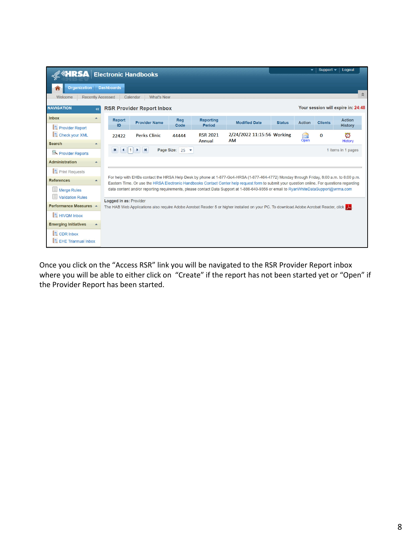| <b>A SHRSA</b> Electronic Handbooks                  |       |                                                                                                                                     |                                                                                                                                                                                                                                                                                        |                               |                                   |                                                                                                                                      |               |                | Support $\blacktriangleright$ | Logout                             |
|------------------------------------------------------|-------|-------------------------------------------------------------------------------------------------------------------------------------|----------------------------------------------------------------------------------------------------------------------------------------------------------------------------------------------------------------------------------------------------------------------------------------|-------------------------------|-----------------------------------|--------------------------------------------------------------------------------------------------------------------------------------|---------------|----------------|-------------------------------|------------------------------------|
| <b>Organization Dashboards</b>                       |       |                                                                                                                                     |                                                                                                                                                                                                                                                                                        |                               |                                   |                                                                                                                                      |               |                |                               |                                    |
| Welcome                                              |       | <b>Recently Accessed</b>                                                                                                            | <b>What's New</b><br>Calendar                                                                                                                                                                                                                                                          |                               |                                   |                                                                                                                                      |               |                |                               | $\hat{\mathbf{v}}$                 |
| <b>NAVIGATION</b>                                    | $\ll$ |                                                                                                                                     | <b>RSR Provider Report Inbox</b>                                                                                                                                                                                                                                                       |                               |                                   |                                                                                                                                      |               |                |                               | Your session will expire in: 24:48 |
| <b>Inbox</b><br><b>Provider Report</b>               |       | <b>Report</b><br>ID                                                                                                                 | <b>Provider Name</b>                                                                                                                                                                                                                                                                   | Reg<br>Code                   | <b>Reporting</b><br><b>Period</b> | <b>Modified Date</b>                                                                                                                 | <b>Status</b> | <b>Action</b>  | <b>Clients</b>                | <b>Action</b><br><b>History</b>    |
| Check your XML<br><b>Search</b>                      |       | 22422                                                                                                                               | <b>Perks Clinic</b>                                                                                                                                                                                                                                                                    | 44444                         | <b>RSR 2021</b><br>Annual         | 2/24/2022 11:15:56 Working<br><b>AM</b>                                                                                              |               | $\sim$<br>Open | $\bf{O}$                      | ರ<br>History                       |
| Provider Reports                                     |       | к<br>$\blacktriangleleft$                                                                                                           | M<br> 1 <br>$\overline{ }$                                                                                                                                                                                                                                                             | Page Size: $25$ $\rightarrow$ |                                   |                                                                                                                                      |               |                |                               | 1 items in 1 pages                 |
| <b>Administration</b>                                |       |                                                                                                                                     |                                                                                                                                                                                                                                                                                        |                               |                                   |                                                                                                                                      |               |                |                               |                                    |
| <b>Print Requests</b>                                |       |                                                                                                                                     |                                                                                                                                                                                                                                                                                        |                               |                                   |                                                                                                                                      |               |                |                               |                                    |
| <b>References</b>                                    |       |                                                                                                                                     | For help with EHBs contact the HRSA Help Desk by phone at 1-877-Go4-HRSA (1-877-464-4772) Monday through Friday, 8:00 a.m. to 8:00 p.m.<br>Eastern Time. Or use the HRSA Electronic Handbooks Contact Center help request form to submit your question online. For questions regarding |                               |                                   |                                                                                                                                      |               |                |                               |                                    |
| $\equiv$ Merge Rules<br>目<br><b>Validation Rules</b> |       | data content and/or reporting requirements, please contact Data Support at 1-888-640-9356 or email to RyanWhiteDataSupport@wrma.com |                                                                                                                                                                                                                                                                                        |                               |                                   |                                                                                                                                      |               |                |                               |                                    |
| Performance Measures A                               |       | Logged in as: Provider                                                                                                              |                                                                                                                                                                                                                                                                                        |                               |                                   | The HAB Web Applications also require Adobe Acrobat Reader 5 or higher installed on your PC. To download Adobe Acrobat Reader, click |               |                |                               |                                    |
| <b>HIVOM Inbox</b>                                   |       |                                                                                                                                     |                                                                                                                                                                                                                                                                                        |                               |                                   |                                                                                                                                      |               |                |                               |                                    |
| <b>Emerging Initiatives</b>                          |       |                                                                                                                                     |                                                                                                                                                                                                                                                                                        |                               |                                   |                                                                                                                                      |               |                |                               |                                    |
| <b>CDR</b> Inbox<br><b>EHE Triannual Inbox</b>       |       |                                                                                                                                     |                                                                                                                                                                                                                                                                                        |                               |                                   |                                                                                                                                      |               |                |                               |                                    |

 Once you click on the "Access RSR" link you will be navigated to the RSR Provider Report inbox where you will be able to either click on "Create" if the report has not been started yet or "Open" if the Provider Report has been started.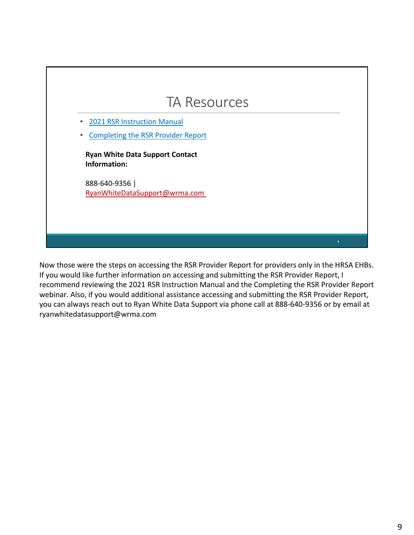

 Now those were the steps on accessing the RSR Provider Report for providers only in the HRSA EHBs. If you would like further information on accessing and submitting the RSR Provider Report, I recommend reviewing the 2021 RSR Instruction Manual and the Completing the RSR Provider Report webinar. Also, if you would additional assistance accessing and submitting the RSR Provider Report, you can always reach out to Ryan White Data Support via phone call at 888‐640‐9356 or by email at [ryanwhitedatasupport@wrma.com](mailto:ryanwhitedatasupport@wrma.com)